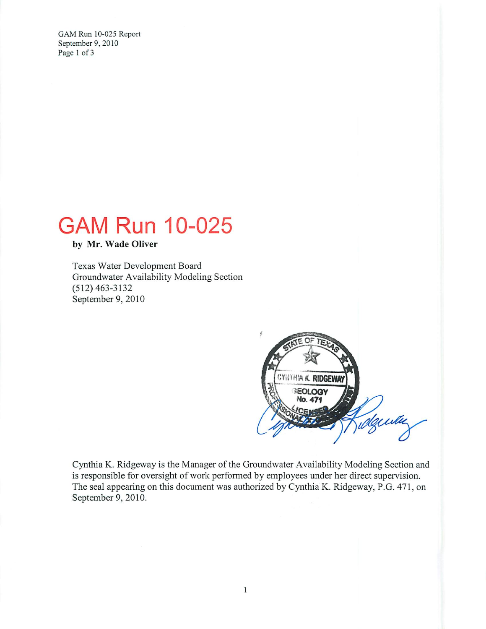GAM Run 10-025 Report September 9, 2010 Page 1 of 3

# **GAM Run 10-025**

by Mr. Wade Oliver

Texas Water Development Board Groundwater Availability Modeling Section  $(512)$  463-3132 September 9, 2010



Cynthia K. Ridgeway is the Manager of the Groundwater Availability Modeling Section and is responsible for oversight of work performed by employees under her direct supervision. The seal appearing on this document was authorized by Cynthia K. Ridgeway, P.G. 471, on September 9, 2010.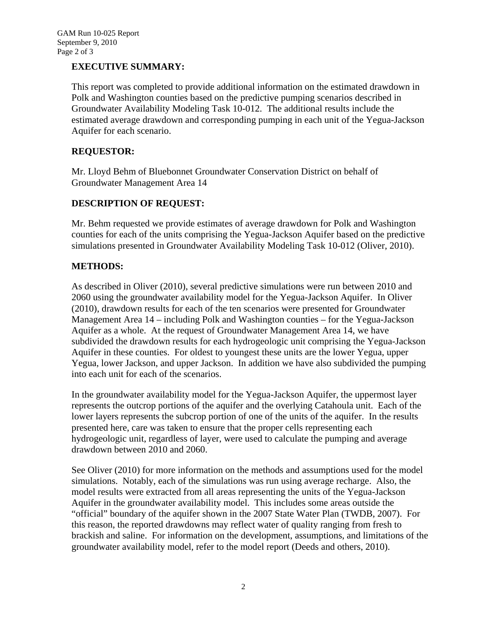## **EXECUTIVE SUMMARY:**

This report was completed to provide additional information on the estimated drawdown in Polk and Washington counties based on the predictive pumping scenarios described in Groundwater Availability Modeling Task 10-012. The additional results include the estimated average drawdown and corresponding pumping in each unit of the Yegua-Jackson Aquifer for each scenario.

## **REQUESTOR:**

Mr. Lloyd Behm of Bluebonnet Groundwater Conservation District on behalf of Groundwater Management Area 14

### **DESCRIPTION OF REQUEST:**

Mr. Behm requested we provide estimates of average drawdown for Polk and Washington counties for each of the units comprising the Yegua-Jackson Aquifer based on the predictive simulations presented in Groundwater Availability Modeling Task 10-012 (Oliver, 2010).

### **METHODS:**

As described in Oliver (2010), several predictive simulations were run between 2010 and 2060 using the groundwater availability model for the Yegua-Jackson Aquifer. In Oliver (2010), drawdown results for each of the ten scenarios were presented for Groundwater Management Area 14 – including Polk and Washington counties – for the Yegua-Jackson Aquifer as a whole. At the request of Groundwater Management Area 14, we have subdivided the drawdown results for each hydrogeologic unit comprising the Yegua-Jackson Aquifer in these counties. For oldest to youngest these units are the lower Yegua, upper Yegua, lower Jackson, and upper Jackson. In addition we have also subdivided the pumping into each unit for each of the scenarios.

In the groundwater availability model for the Yegua-Jackson Aquifer, the uppermost layer represents the outcrop portions of the aquifer and the overlying Catahoula unit. Each of the lower layers represents the subcrop portion of one of the units of the aquifer. In the results presented here, care was taken to ensure that the proper cells representing each hydrogeologic unit, regardless of layer, were used to calculate the pumping and average drawdown between 2010 and 2060.

See Oliver (2010) for more information on the methods and assumptions used for the model simulations. Notably, each of the simulations was run using average recharge. Also, the model results were extracted from all areas representing the units of the Yegua-Jackson Aquifer in the groundwater availability model. This includes some areas outside the "official" boundary of the aquifer shown in the 2007 State Water Plan (TWDB, 2007). For this reason, the reported drawdowns may reflect water of quality ranging from fresh to brackish and saline. For information on the development, assumptions, and limitations of the groundwater availability model, refer to the model report (Deeds and others, 2010).